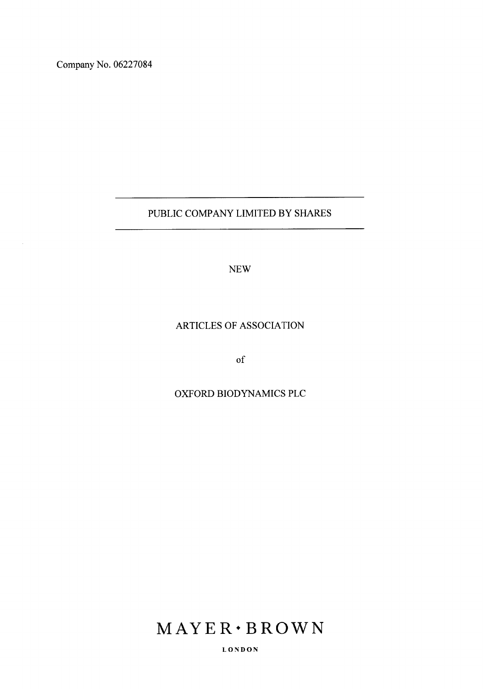Company No. 06227084

# PUBLIC COMPANY LIMITED BY SHARES

NEW

# ARTICLES OF ASSOCIATION

of

# OXFORD BIODYNAMICS PLC

# $MAYER \cdot BROWN$

L ON DON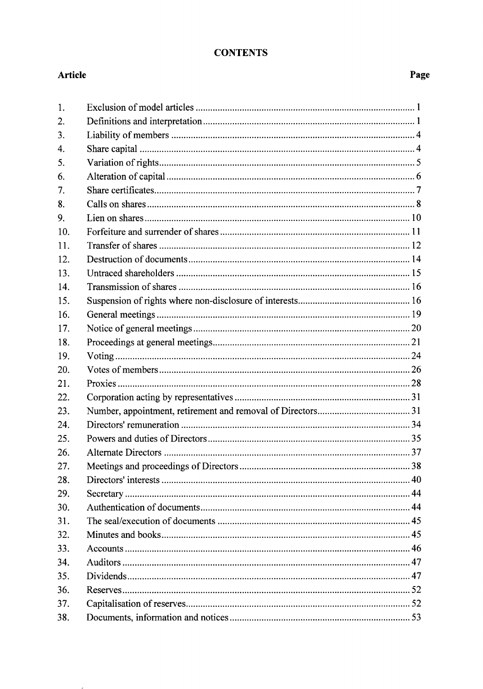# **CONTENTS**

# **Article** Page 2014 **Page 2014**

 $\overline{a}$ 

| 1.  |  |
|-----|--|
| 2.  |  |
| 3.  |  |
| 4.  |  |
| 5.  |  |
| 6.  |  |
| 7.  |  |
| 8.  |  |
| 9.  |  |
| 10. |  |
| 11. |  |
| 12. |  |
| 13. |  |
| 14. |  |
| 15. |  |
| 16. |  |
| 17. |  |
| 18. |  |
| 19. |  |
| 20. |  |
| 21. |  |
| 22. |  |
| 23. |  |
| 24. |  |
| 25. |  |
| 26. |  |
| 27. |  |
| 28. |  |
| 29. |  |
| 30. |  |
| 31. |  |
| 32. |  |
| 33. |  |
| 34. |  |
| 35. |  |
| 36. |  |
| 37. |  |
| 38. |  |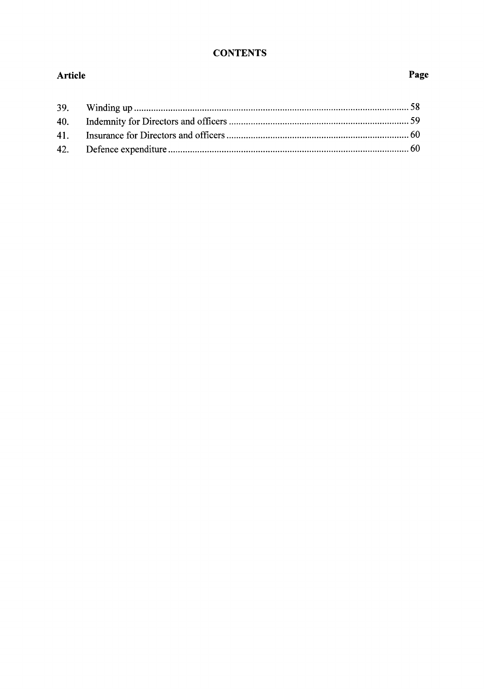# **CONTENTS**

# Article

# Page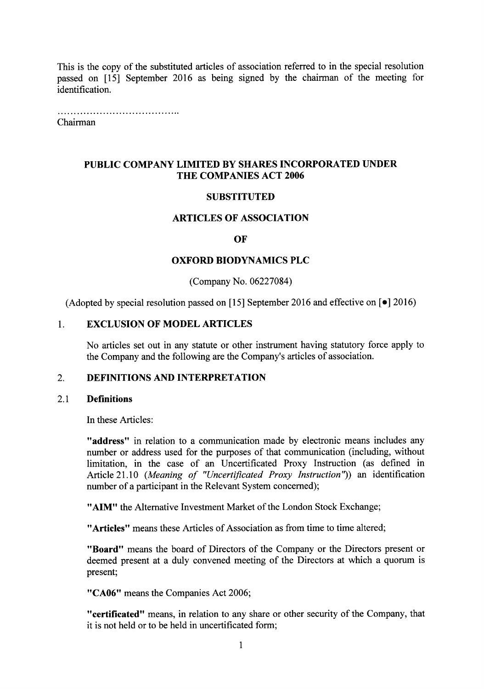This is the copy of the substituted articles of association referred to in the special resolution passed on [15] September 2016 as being signed by the chairman of the meeting for identification.

Chairman

# PUBLIC COMPANY LIMITED BY SHARES INCORPORATED UNDER THE COMPANIES ACT 2006

### **SUBSTITUTED**

### ARTICLES OF ASSOCIATION

### OF

### OXFORD BIODYNAMICS PLC

(Company No. 06227084)

(Adopted by special resolution passed on [15] September 2016 and effective on  $\lceil \bullet \rceil$  2016)

### 1. EXCLUSION OF MODEL ARTICLES

No articles set out in any statute or other instrument having statutory force apply to the Company and the following are the Company's articles of association.

### 2. DEFINITIONS AND INTERPRETATION

### 2.1 Definitions

In these Articles:

"address" in relation to a communication made by electronic means includes any number or address used for the purposes of that communication (including, without limitation, in the case of an Uncertificated Proxy Instruction (as defined in Article 21.10 (Meaning of "Uncertificated Proxy Instruction")) an identification number of a participant in the Relevant System concerned);

"AIM" the Alternative Investment Market of the London Stock Exchange;

"Articles" means these Articles of Association as from time to time altered;

"Board" means the board of Directors of the Company or the Directors present or deemed present at a duly convened meeting of the Directors at which a quorum is present;

"CA06" means the Companies Act 2006;

"certificated" means, in relation to any share or other security of the Company, that it is not held or to be held in uncertificated form;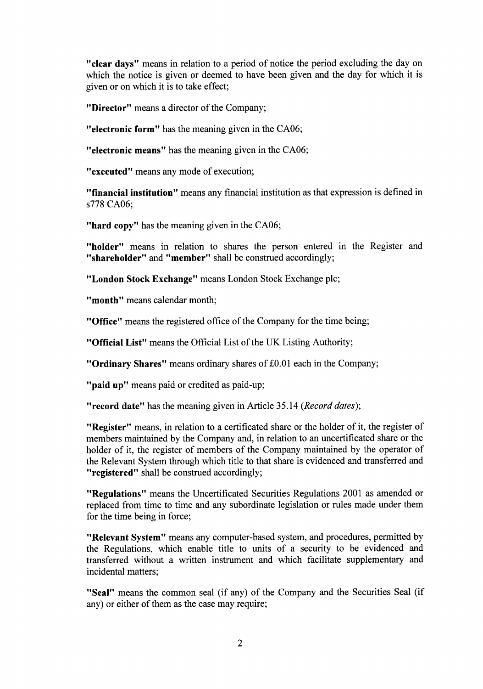"clear days" means in relation to a period of notice the period excluding the day on which the notice is given or deemed to have been given and the day for which it is given or on which it is to take effect;

"Director" means a director of the Company;

"electronic form" has the meaning given in the CA06;

"electronic means" has the meaning given in the CA06;

"executed" means any mode of execution;

"financial institution" means any financial institution as that expression is defined in s778 CA06:

"hard copy" has the meaning given in the CA06;

"holder" means in relation to shares the person entered in the Register and "shareholder" and "member" shall be construed accordingly;

"London Stock Exchange" means London Stock Exchange plc;

"month" means calendar month;

"Office" means the registered office of the Company for the time being;

"Official List" means the Official List of the UK Listing Authority;

"Ordinary Shares" means ordinary shares of £0.01 each in the Company;

"paid up" means paid or credited as paid-up;

**"record date"** has the meaning given in Article 35.14 (*Record dates*);

"Register" means, in relation to a certificated share or the holder of it, the register of members maintained by the Company and, in relation to an uncertificated share or the holder of it, the register of members of the Company maintained by the operator of the Relevant System through which title to that share is evidenced and transferred and "registered" shall be construed accordingly;

"Regulations" means the Uncertificated Securities Regulations 2001 as amended or replaced from time to time and any subordinate legislation or rules made under them for the time being in force;

"Relevant System" means any computer-based system, and procedures, permitted by the Regulations, which enable title to units of a security to be evidenced and transferred without a written instrument and which facilitate supplementary and incidental matters;

"Seal" means the common seal (if any) of the Company and the Securities Seal (if any) or either of them as the case may require;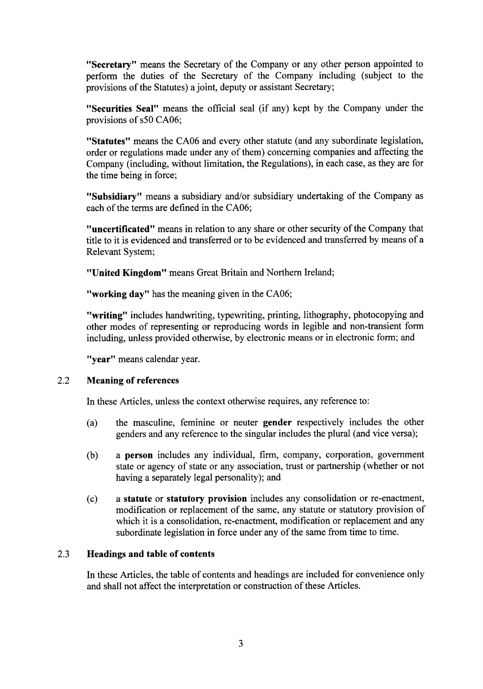"Secretary" means the Secretary of the Company or any other person appointed to perform the duties of the Secretary of the Company including (subject to the provisions of the Statutes) a joint, deputy or assistant Secretary;

"Securities Seal" means the official seal (if any) kept by the Company under the provisions of s50 CA06;

"Statutes" means the CA06 and every other statute (and any subordinate legislation, order or regulations made under any of them) concerning companies and affecting the Company (including, without limitation, the Regulations), in each case, as they are for the time being in force;

"Subsidiary" means a subsidiary and/or subsidiary undertaking of the Company as each of the terms are defined in the CA06;

"uncertificated" means in relation to any share or other security of the Company that title to it is evidenced and transferred or to be evidenced and transfened by means of a Relevant System;

"United Kingdom" means Great Britain and Northern lreland;

"working day" has the meaning given in the CA06;

"writing" includes handwriting, typewriting, printing, lithography, photocopying and other modes of representing or reproducing words in legible and non-transient form including, unless provided otherwise, by electronic means or in electronic form; and

"year" means calendar year.

#### 2.2 Meaning of references

In these Articles, unless the context otherwise requires, any reference to:

- (a) the masculine, feminine or neuter gender respectively includes the other genders and any reference to the singular includes the plural (and vice versa);
- (b) a person includes any individual, firm, company, corporation, government state or agency of state or any association, trust or partnership (whether or not having a separately legal personality); and
- (c) a statute or statutory provision includes any consolidation or re-enactment, modification or replacement of the same, any statute or statutory provision of which it is a consolidation, re-enactment, modification or replacement and any subordinate legislation in force under any of the same from time to time,

#### Headings and table of contents 2.3

In these Articles, the table of contents and headings are included for convenience only and shall not affect the interpretation or construction of these Articles.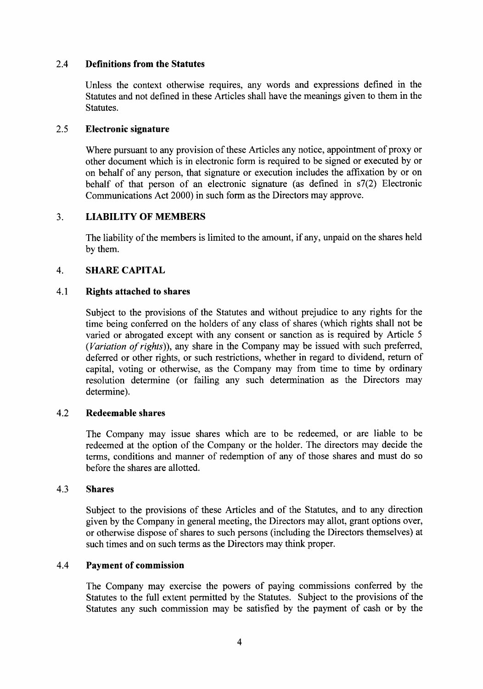#### 2.4 Definitions from the Statutes

Unless the context otherwise requires, any words and expressions defined in the Statutes and not defined in these Articles shall have the meanings given to them in the Statutes.

#### 2.5 Electronic signature

Where pursuant to any provision of these Articles any notice, appointment of proxy or other document which is in electronic form is required to be signed or executed by or on behalf of any person, that signature or execution includes the affixation by or on behalf of that person of an electronic signature (as defined in s7(2) Electronic Communications Act 2000) in such form as the Directors may approve.

#### 3. LIABILITY OF MEMBERS

The liability of the members is limited to the amount, if any, unpaid on the shares held by them.

#### 4. SHARE CAPITAL

#### 4.1 Rights attached to shares

Subject to the provisions of the Statutes and without prejudice to any rights for the time being conferred on the holders of any class of shares (which rights shall not be varied or abrogated except with any consent or sanction as is required by Article <sup>5</sup>  $(Variation of rights)$ ), any share in the Company may be issued with such preferred, defened or other rights, or such restrictions, whether in regard to dividend, return of capital, voting or otherwise, as the Company may from time to time by ordinary resolution determine (or failing any such determination as the Directors may determine).

#### 4.2 Redeemable shares

The Company may issue shares which are to be redeemed, or are liable to be redeemed at the option of the Company or the holder. The directors may decide the terms, conditions and manner of redemption of any of those shares and must do so before the shares are allotted.

#### 4.3 Shares

Subject to the provisions of these Articles and of the Statutes, and to any direction given by the Company in general meeting, the Directors may allot, grant options over, or otherwise dispose of shares to such persons (including the Directors themselves) at such times and on such terms as the Directors may think proper.

#### 4.4 Payment of commission

The Company may exercise the powers of paying commissions conferred by the Statutes to the full extent permitted by the Statutes. Subject to the provisions of the Statutes any such commission may be satisfied by the payment of cash or by the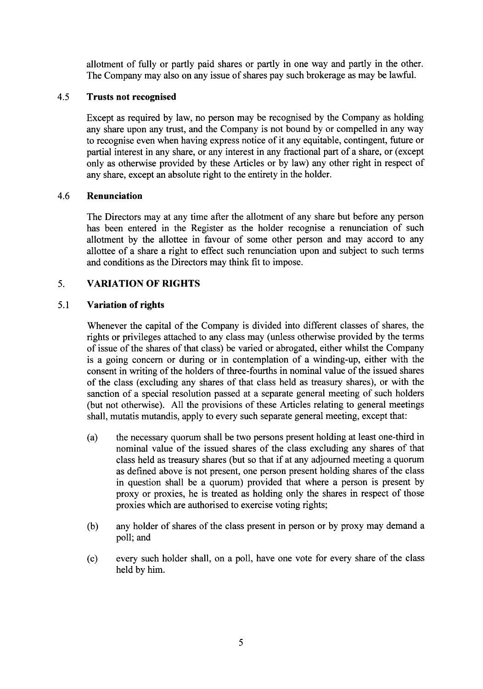allotment of fully or partly paid shares or partly in one way and partly in the other. The Company may also on any issue of shares pay such brokerage as may be lawful.

#### 4.5 Trusts not recognised

Except as required by law, no person may be recognised by the Company as holding any share upon any trust, and the Company is not bound by or compelled in any way to recognise even when having express notice of it any equitable, contingent, future or partial interest in any share, or any interest in any fractional part of a share, or (except only as otherwise provided by these Articles or by law) any other right in respect of any share, except an absolute right to the entirety in the holder.

#### Renunciation 4.6

The Directors may at any time after the allotment of any share but before any person has been entered in the Register as the holder recognise a renunciation of such allotment by the allottee in favour of some other person and may accord to any allottee of a share a right to effect such renunciation upon and subject to such terms and conditions as the Directors may think fit to impose.

#### VARIATION OF RIGHTS 5.

#### Variation of rights 5.1

Whenever the capital of the Company is divided into different classes of shares, the rights or privileges attached to any class may (unless otherwise provided by the terms of issue of the shares of that class) be varied or abrogated, either whilst the Company is a going concern or during or in contemplation of a winding-up, either with the consent in writing of the holders of three-fourths in nominal value of the issued shares of the class (excluding any shares of that class held as treasury shares), or with the sanction of a special resolution passed at a separate general meeting of such holders (but not otherwise). All the provisions of these Articles relating to general meetings shall, mutatis mutandis, apply to every such separate general meeting, except that:

- (a) the necessary quorum shall be two persons present holding at least one-third in nominal value of the issued shares of the class excluding any shares of that class held as treasury shares (but so that if at any adjourned meeting a quorum as defined above is not present, one person present holding shares of the class in question shall be a quorum) provided that where a person is present by proxy or proxies, he is treated as holding only the shares in respect of those proxies which are authorised to exercise voting rights;
- (b) any holder of shares of the class present in person or by proxy may demand <sup>a</sup> poll; and
- (c) every such holder shall, on a poll, have one vote for every share of the class held by him.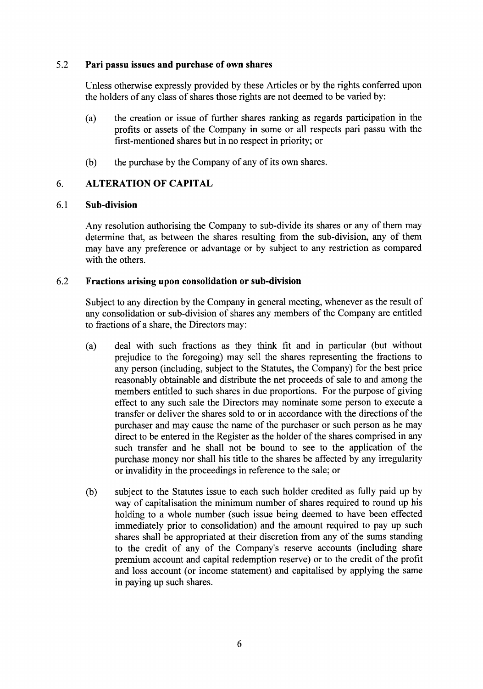# 5.2 Pari passu issues and purchase of own shares

Unless otherwise expressly provided by these Articles or by the rights conferred upon the holders of any class of shares those rights are not deemed to be varied by:

- (a) the creation or issue of further shares ranking as regards participation in the profits or assets of the Company in some or all respects pari passu with the first-mentioned shares but in no respect in priority; or
- (b) the purchase by the Company of any of its own shares.

#### ALTERATION OF CAPITAL 6.

#### Sub-division 6.1

Any resolution authorising the Company to sub-divide its shares or any of them may determine that, as between the shares resulting from the sub-division, any of them may have any preference or advantage or by subject to any restriction as compared with the others.

#### Fractions arising upon consolidation or sub-division 6.2

Subject to any direction by the Company in general meeting, whenever as the result of any consolidation or sub-division of shares any members of the Company are entitled to fractions of a share. the Directors mav:

- (a) deal with such fractions as they think fit and in particular (but without prejudice to the foregoing) may sell the shares representing the fractions to any person (including, subject to the Statutes, the Company) for the best price reasonably obtainable and distribute the net proceeds of sale to and among the members entitled to such shares in due proportions. For the purpose of giving effect to any such sale the Directors may nominate some person to execute a transfer or deliver the shares sold to or in accordance with the directions of the purchaser and may cause the name of the purchaser or such person as he may direct to be entered in the Register as the holder of the shares comprised in any such transfer and he shall not be bound to see to the application of the purchase money nor shall his title to the shares be affected by any irregularity or invalidity in the proceedings in reference to the sale; or
- subject to the Statutes issue to each such holder credited as fully paid up by way of capitalisation the minimum number of shares required to round up his holding to a whole number (such issue being deemed to have been effected immediately prior to consolidation) and the amount required to pay up such shares shall be appropriated at their discretion from any of the sums standing to the credit of any of the Company's reserve accounts (including share premium account and capital redemption reserve) or to the credit of the profit and loss account (or income statement) and capitalised by applying the same in paying up such shares. (b)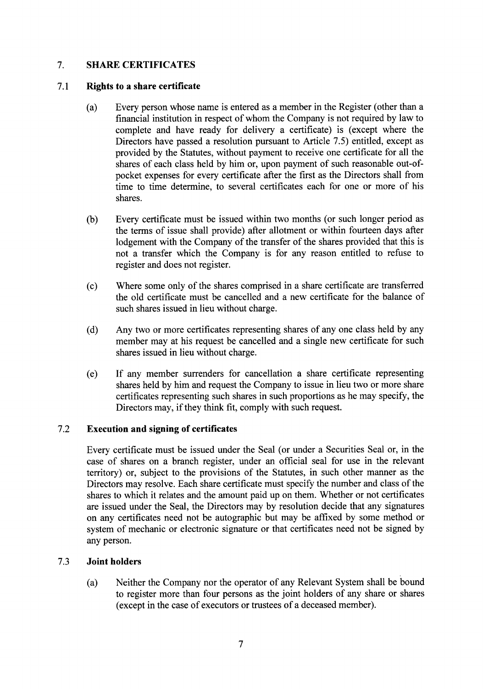#### 7. SHARE CERTIFICATES

#### 7.1 Rights to a share certificate

- (a) Every person whose name is entered as a member in the Register (other than a financial institution in respect of whom the Company is not required by law to complete and have ready for delivery a certificate) is (except where the Directors have passed a resolution pursuant to Article 7.5) entitled, except as provided by the Statutes, without payment to receive one certificate for all the shares of each class held by him or, upon payment of such reasonable out-ofpocket expenses for every certificate after the first as the Directors shall from time to time determine, to several certificates each for one or more of his shares.
- (b) Every certificate must be issued within two months (or such longer period as the terms of issue shall provide) after allotment or within fourteen days after lodgement with the Company of the transfer of the shares provided that this is not a transfer which the Company is for any reason entitled to refuse to register and does not register.
- (c) Where some only of the shares comprised in a share certificate are transferred the old certificate must be cancelled and a new certificate for the balance of such shares issued in lieu without charge.
- (d) Any two or more certificates representing shares of any one class held by any member may at his request be cancelled and a single new certificate for such shares issued in lieu without charge.
- (e) If any member surrenders for cancellation a share certificate representing shares held by him and request the Company to issue in lieu two or more share certificates representing such shares in such proportions as he may specify, the Directors may, if they think fit, comply with such request.

#### Execution and signing of certificates 7.2

Every certificate must be issued under the Seal (or under a Securities Seal or, in the case of shares on a branch register, under an offrcial seal for use in the relevant territory) or, subject to the provisions of the Statutes, in such other manner as the Directors may resolve. Each share certificate must specify the number and class of the shares to which it relates and the amount paid up on them. Whether or not certificates are issued under the Seal, the Directors may by resolution decide that any signatures on any certificates need not be autographic but may be affixed by some method or system of mechanic or electronic signature or that certificates need not be signed by any person.

#### Joint holders 7.3

(a) Neither the Company nor the operator of any Relevant System shall be bound to register more than four persons as the joint holders of any share or shares (except in the case of executors or trustees of a deceased member).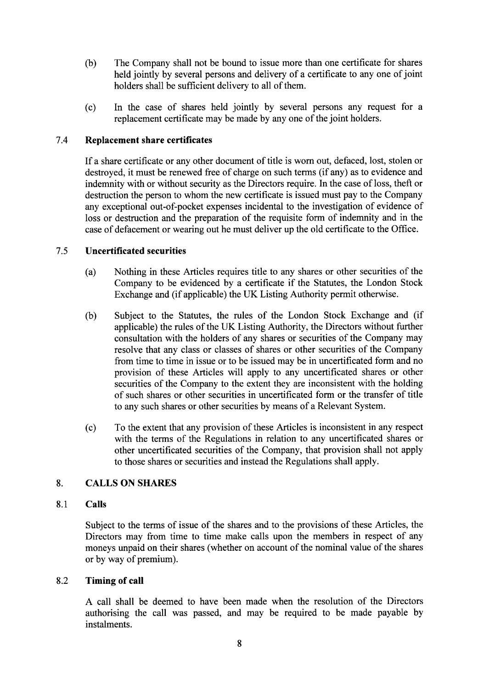- (b) The Company shall not be bound to issue more than one certificate for shares held jointly by several persons and delivery of a certificate to any one of joint holders shall be sufficient delivery to all of them.
- (c) In the case of shares held jointly by several persons any request for <sup>a</sup> replacement certificate may be made by any one of the joint holders.

#### 7.4 Replacement share certificates

If a share certificate or any other document of title is worn out, defaced, lost, stolen or destroyed, it must be renewed free of charge on such terms (if any) as to evidence and indemnity with or without security as the Directors require. In the case of loss, theft or destruction the person to whom the new certificate is issued must pay to the Company any exceptional out-of-pocket expenses incidental to the investigation of evidence of loss or destruction and the preparation of the requisite form of indemnity and in the case of defacement or wearing out he must deliver up the old certificate to the Office.

#### Uncertificated securities 7.5

- (a) Nothing in these Articles requires title to any shares or other securities of the Company to be evidenced by a certificate if the Statutes, the London Stock Exchange and (if applicable) the UK Listing Authority permit otherwise.
- (b) Subject to the Statutes, the rules of the London Stock Exchange and (if applicable) the rules of the UK Listing Authority, the Directors without further consultation with the holders of any shares or securities of the Company may resolve that any class or classes of shares or other securities of the Company from time to time in issue or to be issued may be in uncertificated form and no provision of these Articles will apply to any uncertificated shares or other securities of the Company to the extent they are inconsistent with the holding of such shares or other securities in uncertificated form or the transfer of title to any such shares or other securities by means of a Relevant System.
- (c) To the extent that any provision of these Articles is inconsistent in any respect with the terms of the Regulations in relation to any uncertificated shares or other uncertificated securities of the Company, that provision shall not apply to those shares or securities and instead the Regulations shall apply.

#### CALLS ON SHARES 8.

#### Calls 8.1

Subject to the terms of issue of the shares and to the provisions of these Articles, the Directors may from time to time make calls upon the members in respect of any moneys unpaid on their shares (whether on account of the nominal value of the shares or by way of premium).

#### Timing of call 8.2

A call shall be deemed to have been made when the resolution of the Directors authorising the call was passed, and may be required to be made payable by instalments.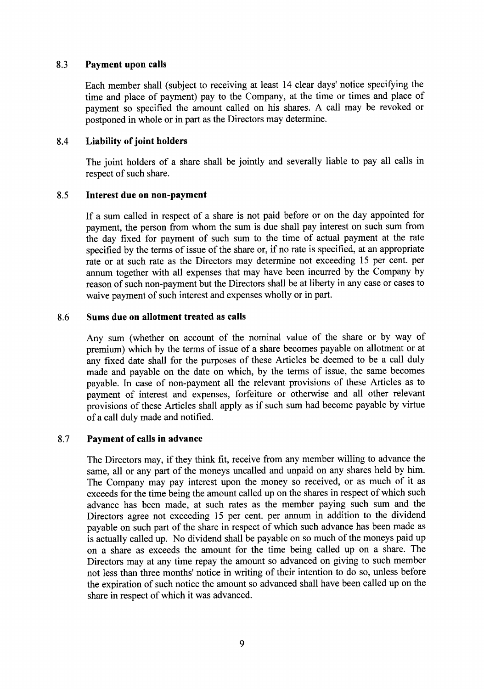#### 8.3 Payment upon calls

Each member shall (subject to receiving at least 14 clear days' notice specifying the time and place of payment) pay to the Company, at the time or times and place of payment so specified the amount called on his shares. A call may be revoked or postponed in whole or in part as the Directors may determine.

#### 8.4 Liability of joint holders

The joint holders of a share shall be jointly and severally liable to pay all calls in respect of such share.

#### 8.5 Interest due on non-payment

If a sum called in respect of a share is not paid before or on the day appointed for payment, the person from whom the sum is due shall pay interest on such sum from the day fixed for payment of such sum to the time of actual payment at the rate specified by the terms of issue of the share or, if no rate is specified, at an appropriate rate or at such rate as the Directors may determine not exceeding 15 per cent. per annum together with all expenses that may have been incurred by the Company by reason of such non-payment but the Directors shall be at liberty in any case or cases to waive payment of such interest and expenses wholly or in part.

#### 8.6 Sums due on allotment treated as calls

Any sum (whether on account of the nominal value of the share or by way of premium) which by the terms of issue of a share becomes payable on allotment or at any fixed date shall for the purposes of these Articles be deemed to be a call duly made and payable on the date on which, by the terms of issue, the same becomes payable. In case of non-payment all the relevant provisions of these Articles as to payment of interest and expenses, forfeiture or otherwise and all other relevant provisions of these Articles shall apply as if such sum had become payable by virtue of a call duly made and notified.

#### 8.7 Payment of calls in advance

The Directors may, if they think fit, receive from any member willing to advance the same, all or any part of the moneys uncalled and unpaid on any shares held by him. The Company may pay interest upon the money so received, or as much of it as exceeds for the time being the amount called up on the shares in respect of which such advance has been made, at such rates as the member paying such sum and the Directors agree not exceeding 15 per cent. per annum in addition to the dividend payable on such part of the share in respect of which such advance has been made as is actually called up. No dividend shall be payable on so much of the moneys paid up on a share as exceeds the amount for the time being called up on a share. The Directors may at any time repay the amount so advanced on giving to such member not less than three months' notice in writing of their intention to do so, unless before the expiration of such notice the amount so advanced shall have been called up on the share in respect of which it was advanced.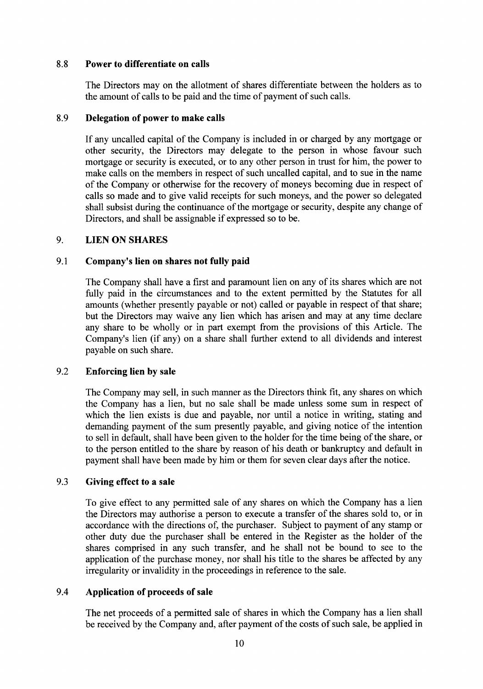#### 8.8 Power to differentiate on calls

The Directors may on the allotment of shares differentiate between the holders as to the amount of calls to be paid and the time of payment of such calls.

#### 8.9 Delegation of power to make calls

If any uncalled capital of the Company is included in or charged by any mortgage or other security, the Directors may delegate to the person in whose favour such mortgage or security is executed, or to any other person in trust for him, the power to make calls on the members in respect of such uncalled capital, and to sue in the name of the Company or otherwise for the recovery of moneys becoming due in respect of calls so made and to give valid receipts for such moneys, and the power so delegated shall subsist during the continuance of the mortgage or security, despite any change of Directors, and shall be assignable if expressed so to be.

#### 9. LIEN ON SHARES

#### 9.1 Company's lien on shares not fully paid

The Company shall have a first and paramount lien on any of its shares which are not fully paid in the circumstances and to the extent permitted by the Statutes for all amounts (whether presently payable or not) called or payable in respect of that share; but the Directors may waive any lien which has arisen and may at any time declare any share to be wholly or in part exempt from the provisions of this Article. The Company's lien (if any) on a share shall further extend to all dividends and interest payable on such share.

#### 9.2 Enforcing lien by sale

The Company may sell, in such manner as the Directors think fit, any shares on which the Company has a lien, but no sale shall be made unless some sum in respect of which the lien exists is due and payable, nor until a notice in writing, stating and demanding payment of the sum presently payable, and giving notice of the intention to sell in default, shall have been given to the holder for the time being of the share, or to the person entitled to the share by reason of his death or bankruptcy and default in payment shall have been made by him or them for seven clear days after the notice.

#### 9.3 Giving effect to a sale

To give effect to any permitted sale of any shares on which the Company has a lien the Directors may authorise a person to execute a transfer of the shares sold to, or in accordance with the directions of, the purchaser. Subject to payment of any stamp or other duty due the purchaser shall be entered in the Register as the holder of the shares comprised in any such transfer, and he shall not be bound to see to the application of the purchase money, nor shall his title to the shares be affected by any irregularity or invalidity in the proceedings in reference to the sale.

#### Application of proceeds of sale 9.4

The net proceeds of a permitted sale of shares in which the Company has a lien shall be received by the Company and, after payment of the costs of such sale, be applied in